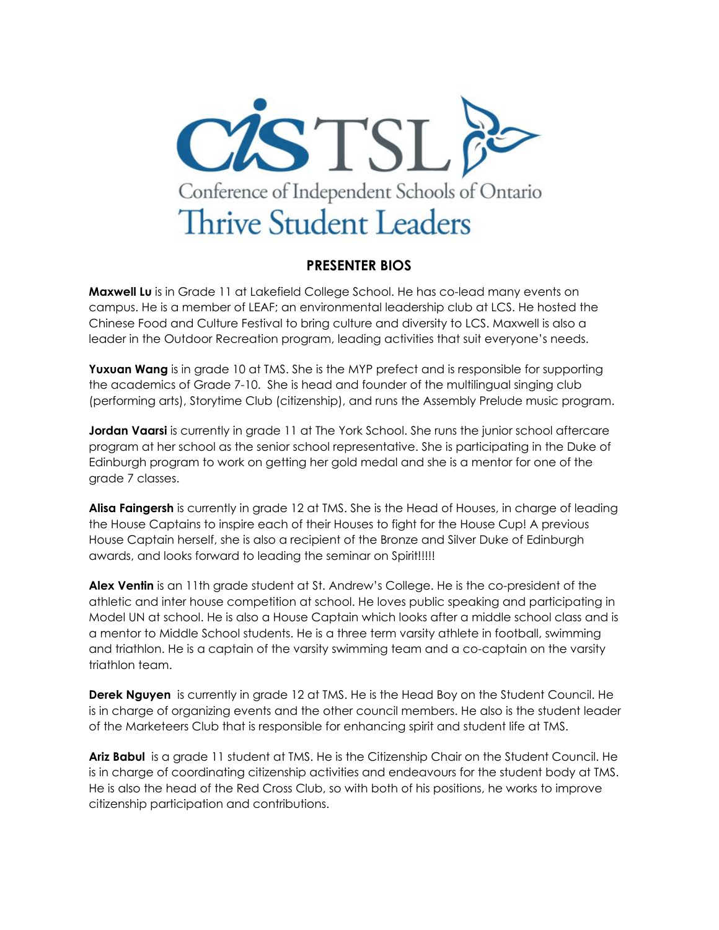

## **PRESENTER BIOS**

**Maxwell Lu** is in Grade 11 at Lakefield College School. He has co-lead many events on campus. He is a member of LEAF; an environmental leadership club at LCS. He hosted the Chinese Food and Culture Festival to bring culture and diversity to LCS. Maxwell is also a leader in the Outdoor Recreation program, leading activities that suit everyone's needs.

**Yuxuan Wang** is in grade 10 at TMS. She is the MYP prefect and is responsible for supporting the academics of Grade 7-10. She is head and founder of the multilingual singing club (performing arts), Storytime Club (citizenship), and runs the Assembly Prelude music program.

**Jordan Vaarsi** is currently in grade 11 at The York School. She runs the junior school aftercare program at her school as the senior school representative. She is participating in the Duke of Edinburgh program to work on getting her gold medal and she is a mentor for one of the grade 7 classes.

**Alisa Faingersh** is currently in grade 12 at TMS. She is the Head of Houses, in charge of leading the House Captains to inspire each of their Houses to fight for the House Cup! A previous House Captain herself, she is also a recipient of the Bronze and Silver Duke of Edinburgh awards, and looks forward to leading the seminar on Spirit!!!!!

**Alex Ventin** is an 11th grade student at St. Andrew's College. He is the co-president of the athletic and inter house competition at school. He loves public speaking and participating in Model UN at school. He is also a House Captain which looks after a middle school class and is a mentor to Middle School students. He is a three term varsity athlete in football, swimming and triathlon. He is a captain of the varsity swimming team and a co-captain on the varsity triathlon team.

**Derek Nguyen** is currently in grade 12 at TMS. He is the Head Boy on the Student Council. He is in charge of organizing events and the other council members. He also is the student leader of the Marketeers Club that is responsible for enhancing spirit and student life at TMS.

**Ariz Babul** is a grade 11 student at TMS. He is the Citizenship Chair on the Student Council. He is in charge of coordinating citizenship activities and endeavours for the student body at TMS. He is also the head of the Red Cross Club, so with both of his positions, he works to improve citizenship participation and contributions.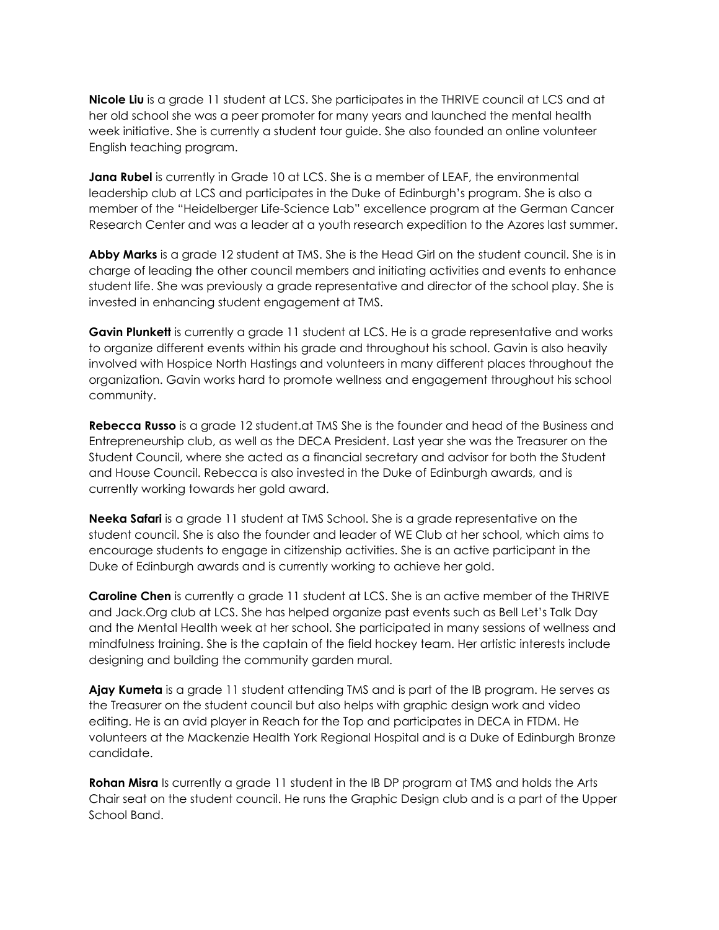**Nicole Liu** is a grade 11 student at LCS. She participates in the THRIVE council at LCS and at her old school she was a peer promoter for many years and launched the mental health week initiative. She is currently a student tour guide. She also founded an online volunteer English teaching program.

**Jana Rubel** is currently in Grade 10 at LCS. She is a member of LEAF, the environmental leadership club at LCS and participates in the Duke of Edinburgh's program. She is also a member of the "Heidelberger Life-Science Lab" excellence program at the German Cancer Research Center and was a leader at a youth research expedition to the Azores last summer.

**Abby Marks** is a grade 12 student at TMS. She is the Head Girl on the student council. She is in charge of leading the other council members and initiating activities and events to enhance student life. She was previously a grade representative and director of the school play. She is invested in enhancing student engagement at TMS.

**Gavin Plunkett** is currently a grade 11 student at LCS. He is a grade representative and works to organize different events within his grade and throughout his school. Gavin is also heavily involved with Hospice North Hastings and volunteers in many different places throughout the organization. Gavin works hard to promote wellness and engagement throughout his school community.

**Rebecca Russo** is a grade 12 student.at TMS She is the founder and head of the Business and Entrepreneurship club, as well as the DECA President. Last year she was the Treasurer on the Student Council, where she acted as a financial secretary and advisor for both the Student and House Council. Rebecca is also invested in the Duke of Edinburgh awards, and is currently working towards her gold award.

**Neeka Safari** is a grade 11 student at TMS School. She is a grade representative on the student council. She is also the founder and leader of WE Club at her school, which aims to encourage students to engage in citizenship activities. She is an active participant in the Duke of Edinburgh awards and is currently working to achieve her gold.

**Caroline Chen** is currently a grade 11 student at LCS. She is an active member of the THRIVE and Jack.Org club at LCS. She has helped organize past events such as Bell Let's Talk Day and the Mental Health week at her school. She participated in many sessions of wellness and mindfulness training. She is the captain of the field hockey team. Her artistic interests include designing and building the community garden mural.

**Ajay Kumeta** is a grade 11 student attending TMS and is part of the IB program. He serves as the Treasurer on the student council but also helps with graphic design work and video editing. He is an avid player in Reach for the Top and participates in DECA in FTDM. He volunteers at the Mackenzie Health York Regional Hospital and is a Duke of Edinburgh Bronze candidate.

**Rohan Misra** Is currently a grade 11 student in the IB DP program at TMS and holds the Arts Chair seat on the student council. He runs the Graphic Design club and is a part of the Upper School Band.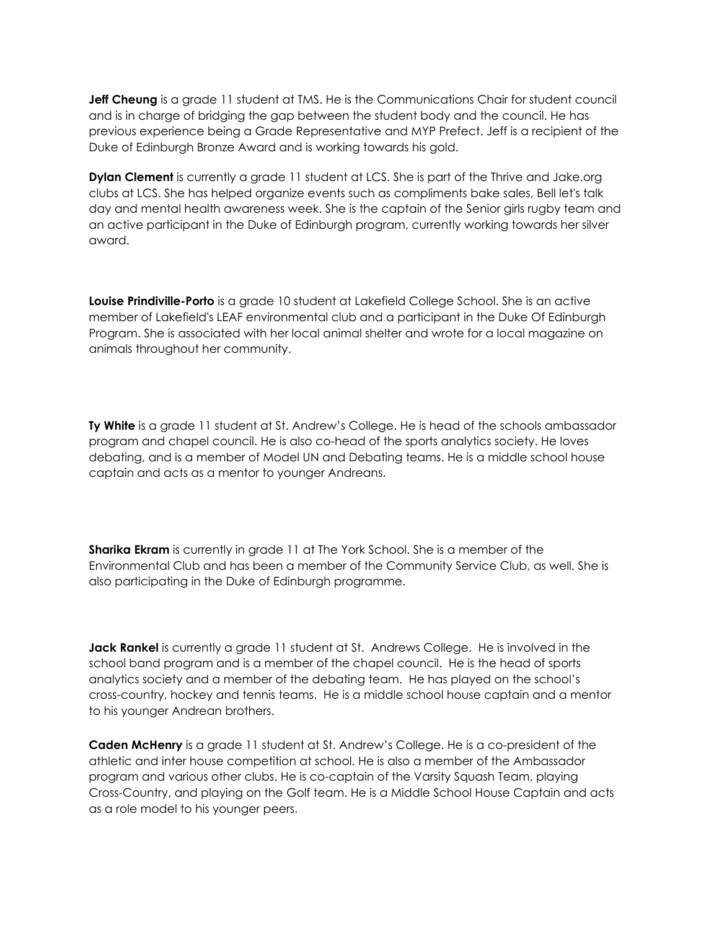**Jeff Cheung** is a grade 11 student at TMS. He is the Communications Chair for student council and is in charge of bridging the gap between the student body and the council. He has previous experience being a Grade Representative and MYP Prefect. Jeff is a recipient of the Duke of Edinburgh Bronze Award and is working towards his gold.

**Dylan Clement** is currently a grade 11 student at LCS. She is part of the Thrive and Jake.org clubs at LCS. She has helped organize events such as compliments bake sales, Bell let's talk day and mental health awareness week. She is the captain of the Senior girls rugby team and an active participant in the Duke of Edinburgh program, currently working towards her silver award.

**Louise Prindiville-Porto** is a grade 10 student at Lakefield College School. She is an active member of Lakefield's LEAF environmental club and a participant in the Duke Of Edinburgh Program. She is associated with her local animal shelter and wrote for a local magazine on animals throughout her community.

**Ty White** is a grade 11 student at St. Andrew's College. He is head of the schools ambassador program and chapel council. He is also co-head of the sports analytics society. He loves debating, and is a member of Model UN and Debating teams. He is a middle school house captain and acts as a mentor to younger Andreans.

**Sharika Ekram** is currently in grade 11 at The York School. She is a member of the Environmental Club and has been a member of the Community Service Club, as well. She is also participating in the Duke of Edinburgh programme.

**Jack Rankel** is currently a grade 11 student at St. Andrews College. He is involved in the school band program and is a member of the chapel council. He is the head of sports analytics society and a member of the debating team. He has played on the school's cross-country, hockey and tennis teams. He is a middle school house captain and a mentor to his younger Andrean brothers.

**Caden McHenry** is a grade 11 student at St. Andrew's College. He is a co-president of the athletic and inter house competition at school. He is also a member of the Ambassador program and various other clubs. He is co-captain of the Varsity Squash Team, playing Cross-Country, and playing on the Golf team. He is a Middle School House Captain and acts as a role model to his younger peers.